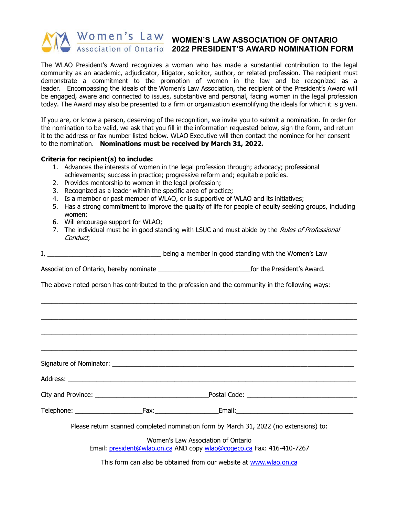## Women's Law women's LAW ASSOCIATION OF ONTARIO **2022 PRESIDENT'S AWARD NOMINATION FORM**

The WLAO President's Award recognizes a woman who has made a substantial contribution to the legal community as an academic, adjudicator, litigator, solicitor, author, or related profession. The recipient must demonstrate a commitment to the promotion of women in the law and be recognized as a leader. Encompassing the ideals of the Women's Law Association, the recipient of the President's Award will be engaged, aware and connected to issues, substantive and personal, facing women in the legal profession today. The Award may also be presented to a firm or organization exemplifying the ideals for which it is given.

If you are, or know a person, deserving of the recognition, we invite you to submit a nomination. In order for the nomination to be valid, we ask that you fill in the information requested below, sign the form, and return it to the address or fax number listed below. WLAO Executive will then contact the nominee for her consent to the nomination. **Nominations must be received by March 31, 2022.**

## **Criteria for recipient(s) to include:**

- 1. Advances the interests of women in the legal profession through; advocacy; professional achievements; success in practice; progressive reform and; equitable policies.
- 2. Provides mentorship to women in the legal profession;
- 3. Recognized as a leader within the specific area of practice;
- 4. Is a member or past member of WLAO, or is supportive of WLAO and its initiatives;
- 5. Has a strong commitment to improve the quality of life for people of equity seeking groups, including women;
- 6. Will encourage support for WLAO;
- 7. The individual must be in good standing with LSUC and must abide by the *Rules of Professional* Conduct;

\_\_\_\_\_\_\_\_\_\_\_\_\_\_\_\_\_\_\_\_\_\_\_\_\_\_\_\_\_\_\_\_\_\_\_\_\_\_\_\_\_\_\_\_\_\_\_\_\_\_\_\_\_\_\_\_\_\_\_\_\_\_\_\_\_\_\_\_\_\_\_\_\_\_\_\_\_\_\_\_\_\_\_\_\_\_\_\_\_

 $\_$  , and the set of the set of the set of the set of the set of the set of the set of the set of the set of the set of the set of the set of the set of the set of the set of the set of the set of the set of the set of th

I, \_\_\_\_\_\_\_\_\_\_\_\_\_\_\_\_\_\_\_\_\_\_\_\_\_\_\_\_\_\_\_\_ being a member in good standing with the Women's Law

Association of Ontario, hereby nominate example the example of the President's Award.

The above noted person has contributed to the profession and the community in the following ways:

 $\_$  , and the set of the set of the set of the set of the set of the set of the set of the set of the set of the set of the set of the set of the set of the set of the set of the set of the set of the set of the set of th \_\_\_\_\_\_\_\_\_\_\_\_\_\_\_\_\_\_\_\_\_\_\_\_\_\_\_\_\_\_\_\_\_\_\_\_\_\_\_\_\_\_\_\_\_\_\_\_\_\_\_\_\_\_\_\_\_\_\_\_\_\_\_\_\_\_\_\_\_\_\_\_\_\_\_\_\_\_\_\_\_\_\_\_\_\_\_\_\_ Signature of Nominator:  $\Box$ Address: City and Province: example and the example of Postal Code:  $Postal Code:$ Telephone: \_\_\_\_\_\_\_\_\_\_\_\_\_\_\_\_\_\_\_Fax:\_\_\_\_\_\_\_\_\_\_\_\_\_\_\_\_\_\_Email:\_\_\_\_\_\_\_\_\_\_\_\_\_\_\_\_\_\_\_\_\_\_\_\_\_\_\_\_\_\_\_\_\_ Please return scanned completed nomination form by March 31, 2022 (no extensions) to:

> Women's Law Association of Ontario Email: [president@wlao.on.ca](mailto:president@wlao.on.ca) AND copy [wlao@cogeco.ca](mailto:wlao@cogeco.ca) Fax: 416-410-7267

This form can also be obtained from our website at [www.wlao.on.ca](http://www.wlao.on.ca/)